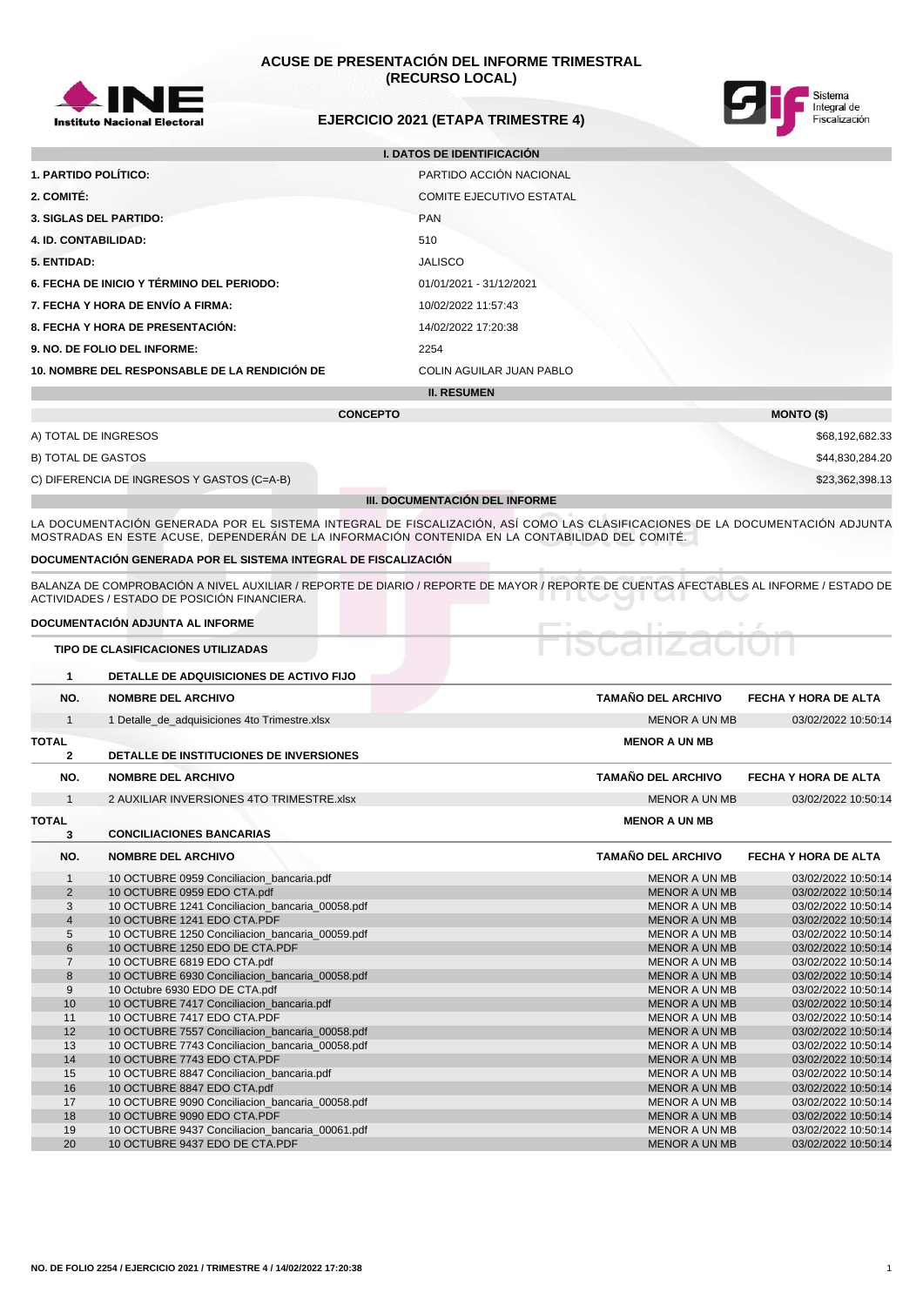

# **ACUSE DE PRESENTACIÓN DEL INFORME TRIMESTRAL (RECURSO LOCAL)**



# **EJERCICIO 2021 (ETAPA TRIMESTRE 4)**

| <b>I. DATOS DE IDENTIFICACIÓN</b>                                    |                                 |  |  |  |
|----------------------------------------------------------------------|---------------------------------|--|--|--|
| <b>1. PARTIDO POLÍTICO:</b>                                          | PARTIDO ACCIÓN NACIONAL         |  |  |  |
| 2. COMITÉ:                                                           | <b>COMITE EJECUTIVO ESTATAL</b> |  |  |  |
| <b>3. SIGLAS DEL PARTIDO:</b><br><b>PAN</b>                          |                                 |  |  |  |
| <b>4. ID. CONTABILIDAD:</b><br>510                                   |                                 |  |  |  |
| 5. ENTIDAD:                                                          | <b>JALISCO</b>                  |  |  |  |
| 6. FECHA DE INICIO Y TÉRMINO DEL PERIODO:<br>01/01/2021 - 31/12/2021 |                                 |  |  |  |
| 7. FECHA Y HORA DE ENVÍO A FIRMA:<br>10/02/2022 11:57:43             |                                 |  |  |  |
| 8. FECHA Y HORA DE PRESENTACIÓN:                                     | 14/02/2022 17:20:38             |  |  |  |
| 9. NO. DE FOLIO DEL INFORME:                                         | 2254                            |  |  |  |
| 10. NOMBRE DEL RESPONSABLE DE LA RENDICIÓN DE                        | <b>COLIN AGUILAR JUAN PABLO</b> |  |  |  |
| <b>II. RESUMEN</b>                                                   |                                 |  |  |  |

|                                            | <b>CONCEPTO</b>                | <b>MONTO (\$)</b> |
|--------------------------------------------|--------------------------------|-------------------|
| A) TOTAL DE INGRESOS                       |                                | \$68,192,682.33   |
| B) TOTAL DE GASTOS                         |                                | \$44,830,284.20   |
| C) DIFERENCIA DE INGRESOS Y GASTOS (C=A-B) |                                | \$23,362,398.13   |
|                                            | III. DOCUMENTACIÓN DEL INFORME |                   |

LA DOCUMENTACION GENERADA POR EL SISTEMA INTEGRAL DE FISCALIZACION, ASI COMO LAS CLASIFICACIONES DE LA DOCUMENTACION ADJUNTA MOSTRADAS EN ESTE ACUSE, DEPENDERÁN DE LA INFORMACIÓN CONTENIDA EN LA CONTABILIDAD DEL COMITÉ.

### **DOCUMENTACIÓN GENERADA POR EL SISTEMA INTEGRAL DE FISCALIZACIÓN**

BALANZA DE COMPROBACIÓN A NIVEL AUXILIAR / REPORTE DE DIARIO / REPORTE DE MAYOR / REPORTE DE CUENTAS AFECTABLES AL INFORME / ESTADO DE ACTIVIDADES / ESTADO DE POSICIÓN FINANCIERA.

## **DOCUMENTACIÓN ADJUNTA AL INFORME**

|  | TIPO DE CLASIFICACIONES UTILIZADAS |  |
|--|------------------------------------|--|
|  |                                    |  |

| $\mathbf{1}$   | DETALLE DE ADQUISICIONES DE ACTIVO FIJO         |                           |                             |
|----------------|-------------------------------------------------|---------------------------|-----------------------------|
| NO.            | <b>NOMBRE DEL ARCHIVO</b>                       | <b>TAMAÑO DEL ARCHIVO</b> | <b>FECHA Y HORA DE ALTA</b> |
| $\mathbf{1}$   | 1 Detalle_de_adquisiciones 4to Trimestre.xlsx   | <b>MENOR A UN MB</b>      | 03/02/2022 10:50:14         |
| <b>TOTAL</b>   |                                                 | <b>MENOR A UN MB</b>      |                             |
| $\overline{2}$ | DETALLE DE INSTITUCIONES DE INVERSIONES         |                           |                             |
| NO.            | <b>NOMBRE DEL ARCHIVO</b>                       | <b>TAMAÑO DEL ARCHIVO</b> | FECHA Y HORA DE ALTA        |
| $\mathbf{1}$   | 2 AUXILIAR INVERSIONES 4TO TRIMESTRE.xlsx       | <b>MENOR A UN MB</b>      | 03/02/2022 10:50:14         |
| <b>TOTAL</b>   |                                                 | <b>MENOR A UN MB</b>      |                             |
| 3              | <b>CONCILIACIONES BANCARIAS</b>                 |                           |                             |
| NO.            | <b>NOMBRE DEL ARCHIVO</b>                       | <b>TAMAÑO DEL ARCHIVO</b> | FECHA Y HORA DE ALTA        |
| $\mathbf{1}$   | 10 OCTUBRE 0959 Conciliacion_bancaria.pdf       | <b>MENOR A UN MB</b>      | 03/02/2022 10:50:14         |
| $\overline{2}$ | 10 OCTUBRE 0959 EDO CTA.pdf                     | <b>MENOR A UN MB</b>      | 03/02/2022 10:50:14         |
| 3              | 10 OCTUBRE 1241 Conciliacion bancaria 00058.pdf | <b>MENOR A UN MB</b>      | 03/02/2022 10:50:14         |
| $\overline{4}$ | 10 OCTUBRE 1241 EDO CTA.PDF                     | <b>MENOR A UN MB</b>      | 03/02/2022 10:50:14         |
| 5              | 10 OCTUBRE 1250 Conciliacion_bancaria_00059.pdf | <b>MENOR A UN MB</b>      | 03/02/2022 10:50:14         |
| 6              | 10 OCTUBRE 1250 EDO DE CTA.PDF                  | <b>MENOR A UN MB</b>      | 03/02/2022 10:50:14         |
| $\overline{7}$ | 10 OCTUBRE 6819 EDO CTA.pdf                     | <b>MENOR A UN MB</b>      | 03/02/2022 10:50:14         |
| 8              | 10 OCTUBRE 6930 Conciliacion bancaria 00058.pdf | <b>MENOR A UN MB</b>      | 03/02/2022 10:50:14         |
| 9              | 10 Octubre 6930 EDO DE CTA.pdf                  | <b>MENOR A UN MB</b>      | 03/02/2022 10:50:14         |
| 10             | 10 OCTUBRE 7417 Conciliacion bancaria.pdf       | <b>MENOR A UN MB</b>      | 03/02/2022 10:50:14         |
| 11             | 10 OCTUBRE 7417 EDO CTA.PDF                     | <b>MENOR A UN MB</b>      | 03/02/2022 10:50:14         |
| 12             | 10 OCTUBRE 7557 Conciliacion_bancaria_00058.pdf | <b>MENOR A UN MB</b>      | 03/02/2022 10:50:14         |
| 13             | 10 OCTUBRE 7743 Conciliacion_bancaria_00058.pdf | <b>MENOR A UN MB</b>      | 03/02/2022 10:50:14         |
| 14             | 10 OCTUBRE 7743 EDO CTA.PDF                     | <b>MENOR A UN MB</b>      | 03/02/2022 10:50:14         |
| 15             | 10 OCTUBRE 8847 Conciliacion_bancaria.pdf       | <b>MENOR A UN MB</b>      | 03/02/2022 10:50:14         |
| 16             | 10 OCTUBRE 8847 EDO CTA.pdf                     | <b>MENOR A UN MB</b>      | 03/02/2022 10:50:14         |
| 17             | 10 OCTUBRE 9090 Conciliacion bancaria 00058.pdf | <b>MENOR A UN MB</b>      | 03/02/2022 10:50:14         |
| 18             | 10 OCTUBRE 9090 EDO CTA.PDF                     | <b>MENOR A UN MB</b>      | 03/02/2022 10:50:14         |
| 19             | 10 OCTUBRE 9437 Conciliacion_bancaria_00061.pdf | <b>MENOR A UN MB</b>      | 03/02/2022 10:50:14         |
| 20             | 10 OCTUBRE 9437 EDO DE CTA.PDF                  | <b>MENOR A UN MB</b>      | 03/02/2022 10:50:14         |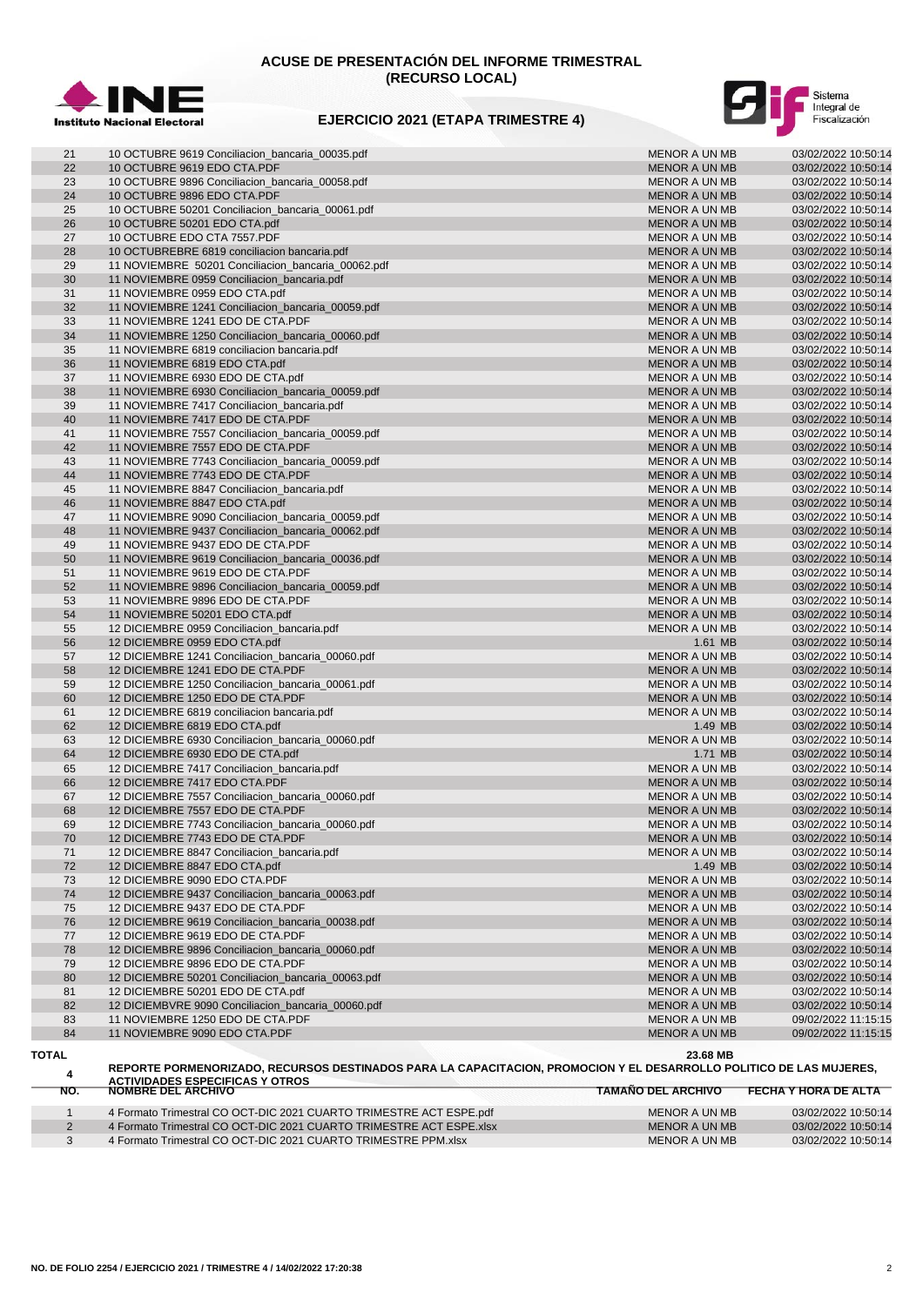

# **ACUSE DE PRESENTACIÓN DEL INFORME TRIMESTRAL (RECURSO LOCAL)**





| 21       | 10 OCTUBRE 9619 Conciliacion_bancaria_00035.pdf                   | <b>MENOR A UN MB</b>                  | 03/02/2022 10:50:14                        |
|----------|-------------------------------------------------------------------|---------------------------------------|--------------------------------------------|
| 22       | 10 OCTUBRE 9619 EDO CTA.PDF                                       | <b>MENOR A UN MB</b>                  | 03/02/2022 10:50:14                        |
| 23       | 10 OCTUBRE 9896 Conciliacion_bancaria_00058.pdf                   | <b>MENOR A UN MB</b>                  | 03/02/2022 10:50:14                        |
| 24       | 10 OCTUBRE 9896 EDO CTA.PDF                                       | <b>MENOR A UN MB</b>                  | 03/02/2022 10:50:14                        |
| 25       | 10 OCTUBRE 50201 Conciliacion_bancaria_00061.pdf                  | MENOR A UN MB                         | 03/02/2022 10:50:14                        |
| 26       | 10 OCTUBRE 50201 EDO CTA.pdf                                      | <b>MENOR A UN MB</b>                  | 03/02/2022 10:50:14                        |
|          |                                                                   |                                       |                                            |
| 27       | 10 OCTUBRE EDO CTA 7557.PDF                                       | MENOR A UN MB                         | 03/02/2022 10:50:14                        |
| 28       | 10 OCTUBREBRE 6819 conciliacion bancaria.pdf                      | <b>MENOR A UN MB</b>                  | 03/02/2022 10:50:14                        |
| 29       | 11 NOVIEMBRE 50201 Conciliacion_bancaria_00062.pdf                | MENOR A UN MB                         | 03/02/2022 10:50:14                        |
| 30       | 11 NOVIEMBRE 0959 Conciliacion_bancaria.pdf                       | <b>MENOR A UN MB</b>                  | 03/02/2022 10:50:14                        |
| 31       | 11 NOVIEMBRE 0959 EDO CTA.pdf                                     | MENOR A UN MB                         | 03/02/2022 10:50:14                        |
| 32       | 11 NOVIEMBRE 1241 Conciliacion_bancaria_00059.pdf                 | <b>MENOR A UN MB</b>                  | 03/02/2022 10:50:14                        |
| 33       | 11 NOVIEMBRE 1241 EDO DE CTA.PDF                                  | MENOR A UN MB                         | 03/02/2022 10:50:14                        |
| 34       | 11 NOVIEMBRE 1250 Conciliacion bancaria 00060.pdf                 | <b>MENOR A UN MB</b>                  | 03/02/2022 10:50:14                        |
| 35       | 11 NOVIEMBRE 6819 conciliacion bancaria.pdf                       | MENOR A UN MB                         | 03/02/2022 10:50:14                        |
| 36       | 11 NOVIEMBRE 6819 EDO CTA.pdf                                     | <b>MENOR A UN MB</b>                  | 03/02/2022 10:50:14                        |
|          |                                                                   |                                       |                                            |
| 37       | 11 NOVIEMBRE 6930 EDO DE CTA.pdf                                  | MENOR A UN MB                         | 03/02/2022 10:50:14                        |
| 38       | 11 NOVIEMBRE 6930 Conciliacion_bancaria_00059.pdf                 | <b>MENOR A UN MB</b>                  | 03/02/2022 10:50:14                        |
| 39       | 11 NOVIEMBRE 7417 Conciliacion_bancaria.pdf                       | MENOR A UN MB                         | 03/02/2022 10:50:14                        |
| 40       | 11 NOVIEMBRE 7417 EDO DE CTA.PDF                                  | <b>MENOR A UN MB</b>                  | 03/02/2022 10:50:14                        |
| 41       | 11 NOVIEMBRE 7557 Conciliacion_bancaria_00059.pdf                 | MENOR A UN MB                         | 03/02/2022 10:50:14                        |
| 42       | 11 NOVIEMBRE 7557 EDO DE CTA.PDF                                  | <b>MENOR A UN MB</b>                  | 03/02/2022 10:50:14                        |
| 43       | 11 NOVIEMBRE 7743 Conciliacion_bancaria_00059.pdf                 | MENOR A UN MB                         | 03/02/2022 10:50:14                        |
| 44       | 11 NOVIEMBRE 7743 EDO DE CTA.PDF                                  | <b>MENOR A UN MB</b>                  | 03/02/2022 10:50:14                        |
| 45       | 11 NOVIEMBRE 8847 Conciliacion bancaria.pdf                       | MENOR A UN MB                         | 03/02/2022 10:50:14                        |
| 46       | 11 NOVIEMBRE 8847 EDO CTA.pdf                                     | <b>MENOR A UN MB</b>                  | 03/02/2022 10:50:14                        |
| 47       | 11 NOVIEMBRE 9090 Conciliacion_bancaria_00059.pdf                 |                                       | 03/02/2022 10:50:14                        |
|          |                                                                   | MENOR A UN MB                         |                                            |
| 48       | 11 NOVIEMBRE 9437 Conciliacion bancaria 00062.pdf                 | <b>MENOR A UN MB</b>                  | 03/02/2022 10:50:14                        |
| 49       | 11 NOVIEMBRE 9437 EDO DE CTA.PDF                                  | MENOR A UN MB                         | 03/02/2022 10:50:14                        |
| 50       | 11 NOVIEMBRE 9619 Conciliacion_bancaria_00036.pdf                 | <b>MENOR A UN MB</b>                  | 03/02/2022 10:50:14                        |
| 51       | 11 NOVIEMBRE 9619 EDO DE CTA.PDF                                  | MENOR A UN MB                         | 03/02/2022 10:50:14                        |
| 52       | 11 NOVIEMBRE 9896 Conciliacion_bancaria_00059.pdf                 | <b>MENOR A UN MB</b>                  | 03/02/2022 10:50:14                        |
| 53       | 11 NOVIEMBRE 9896 EDO DE CTA.PDF                                  | MENOR A UN MB                         | 03/02/2022 10:50:14                        |
| 54       | 11 NOVIEMBRE 50201 EDO CTA.pdf                                    | <b>MENOR A UN MB</b>                  | 03/02/2022 10:50:14                        |
| 55       | 12 DICIEMBRE 0959 Conciliacion_bancaria.pdf                       | <b>MENOR A UN MB</b>                  | 03/02/2022 10:50:14                        |
| 56       | 12 DICIEMBRE 0959 EDO CTA.pdf                                     | 1.61 MB                               | 03/02/2022 10:50:14                        |
| 57       | 12 DICIEMBRE 1241 Conciliacion_bancaria_00060.pdf                 | <b>MENOR A UN MB</b>                  | 03/02/2022 10:50:14                        |
| 58       | 12 DICIEMBRE 1241 EDO DE CTA.PDF                                  | <b>MENOR A UN MB</b>                  | 03/02/2022 10:50:14                        |
|          |                                                                   |                                       |                                            |
| 59       | 12 DICIEMBRE 1250 Conciliacion_bancaria_00061.pdf                 | MENOR A UN MB                         | 03/02/2022 10:50:14                        |
| 60       | 12 DICIEMBRE 1250 EDO DE CTA.PDF                                  | <b>MENOR A UN MB</b>                  | 03/02/2022 10:50:14                        |
| 61       | 12 DICIEMBRE 6819 conciliacion bancaria.pdf                       | <b>MENOR A UN MB</b>                  | 03/02/2022 10:50:14                        |
| 62       | 12 DICIEMBRE 6819 EDO CTA.pdf                                     | 1.49 MB                               | 03/02/2022 10:50:14                        |
| 63       | 12 DICIEMBRE 6930 Conciliacion_bancaria_00060.pdf                 | <b>MENOR A UN MB</b>                  | 03/02/2022 10:50:14                        |
| 64       | 12 DICIEMBRE 6930 EDO DE CTA.pdf                                  | 1.71 MB                               | 03/02/2022 10:50:14                        |
| 65       | 12 DICIEMBRE 7417 Conciliacion_bancaria.pdf                       | MENOR A UN MB                         | 03/02/2022 10:50:14                        |
| 66       | 12 DICIEMBRE 7417 EDO CTA.PDF                                     | <b>MENOR A UN MB</b>                  | 03/02/2022 10:50:14                        |
| 67       | 12 DICIEMBRE 7557 Conciliacion_bancaria_00060.pdf                 | MENOR A UN MB                         | 03/02/2022 10:50:14                        |
| 68       | 12 DICIEMBRE 7557 EDO DE CTA.PDF                                  | <b>MENOR A UN MB</b>                  | 03/02/2022 10:50:14                        |
| 69       | 12 DICIEMBRE 7743 Conciliacion_bancaria_00060.pdf                 | <b>MENOR A UN MB</b>                  | 03/02/2022 10:50:14                        |
|          |                                                                   |                                       |                                            |
| 70       | 12 DICIEMBRE 7743 EDO DE CTA.PDF                                  | MENOR A UN MB                         | 03/02/2022 10:50:14                        |
| 71       | 12 DICIEMBRE 8847 Conciliacion_bancaria.pdf                       | <b>MENOR A UN MB</b>                  | 03/02/2022 10:50:14                        |
| 72       | 12 DICIEMBRE 8847 EDO CTA.pdf                                     | 1.49 MB                               | 03/02/2022 10:50:14                        |
| 73       | 12 DICIEMBRE 9090 EDO CTA.PDF                                     | <b>MENOR A UN MB</b>                  | 03/02/2022 10:50:14                        |
| 74       | 12 DICIEMBRE 9437 Conciliacion_bancaria_00063.pdf                 | <b>MENOR A UN MB</b>                  | 03/02/2022 10:50:14                        |
| 75       | 12 DICIEMBRE 9437 EDO DE CTA.PDF                                  | MENOR A UN MB                         | 03/02/2022 10:50:14                        |
| 76       |                                                                   |                                       | 03/02/2022 10:50:14                        |
|          | 12 DICIEMBRE 9619 Conciliacion_bancaria_00038.pdf                 | <b>MENOR A UN MB</b>                  |                                            |
|          |                                                                   |                                       |                                            |
| 77       | 12 DICIEMBRE 9619 EDO DE CTA.PDF                                  | MENOR A UN MB                         | 03/02/2022 10:50:14                        |
| 78       | 12 DICIEMBRE 9896 Conciliacion_bancaria_00060.pdf                 | <b>MENOR A UN MB</b>                  | 03/02/2022 10:50:14                        |
| 79       | 12 DICIEMBRE 9896 EDO DE CTA.PDF                                  | MENOR A UN MB                         | 03/02/2022 10:50:14                        |
| 80       | 12 DICIEMBRE 50201 Conciliacion_bancaria_00063.pdf                | <b>MENOR A UN MB</b>                  | 03/02/2022 10:50:14                        |
| 81       | 12 DICIEMBRE 50201 EDO DE CTA.pdf                                 | <b>MENOR A UN MB</b>                  | 03/02/2022 10:50:14                        |
| 82       | 12 DICIEMBVRE 9090 Conciliacion_bancaria_00060.pdf                | <b>MENOR A UN MB</b>                  | 03/02/2022 10:50:14                        |
| 83<br>84 | 11 NOVIEMBRE 1250 EDO DE CTA.PDF<br>11 NOVIEMBRE 9090 EDO CTA.PDF | MENOR A UN MB<br><b>MENOR A UN MB</b> | 09/02/2022 11:15:15<br>09/02/2022 11:15:15 |

#### **TOTAL 23.68 MB**

 **REPORTE PORMENORIZADO, RECURSOS DESTINADOS PARA LA CAPACITACION, PROMOCION Y EL DESARROLLO POLITICO DE LAS MUJERES, ACTIVIDADES ESPECIFICAS Y OTROS NO. NOMBRE DEL ARCHIVO TAMAÑO DEL ARCHIVO FECHA Y HORA DE ALTA**

| 4 Formato Trimestral CO OCT-DIC 2021 CUARTO TRIMESTRE ACT ESPE.pdf  | MENOR A UN MB | 03/02/2022 10:50:14 |
|---------------------------------------------------------------------|---------------|---------------------|
| 4 Formato Trimestral CO OCT-DIC 2021 CUARTO TRIMESTRE ACT ESPE xlsx | MENOR A UN MB | 03/02/2022 10:50:14 |
| 4 Formato Trimestral CO OCT-DIC 2021 CUARTO TRIMESTRE PPM xlsx      | MENOR A UN MB | 03/02/2022 10:50:14 |